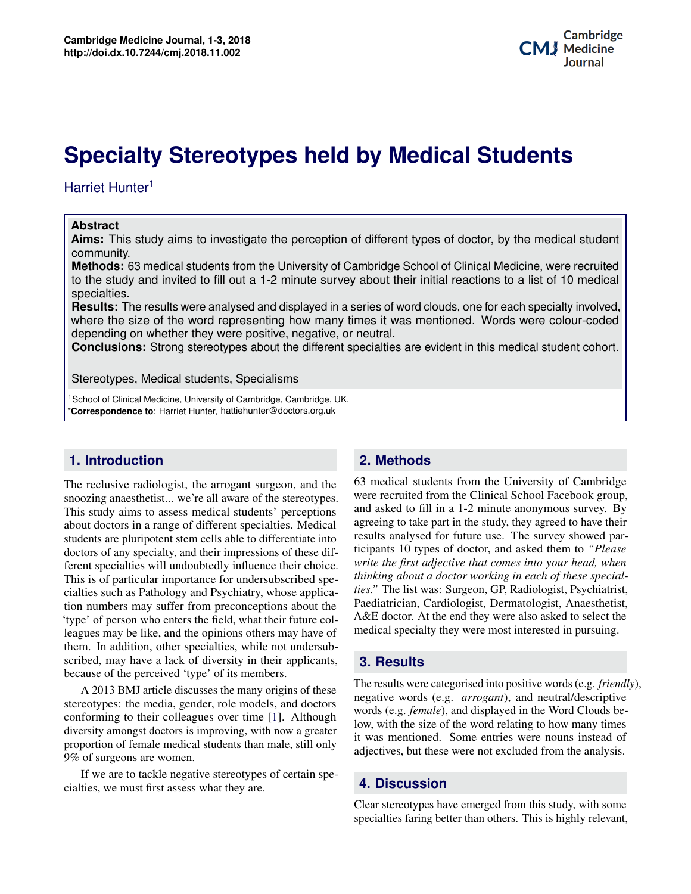Dominic Kwan

Potential applications of three-dimensional

rel and Charles Lindbergh published "*The Culture of Organs*" in 1938, which

investigating the exciting prospects three-dimensional printing offers to the

bioprinting in Regenerative Medicine

# **Potential Applications of Three-dimensional Biophype in Regime and State Medicine Specialty Stereotypes held by Medical Students**

# Harriet Hunter<sup>1</sup>

#### **Abstract**

**Aims:** This study aims to investigate the perception of different types of doctor, by the medical student community.

**Methods:** 63 medical students from the University of Cambridge School of Clinical Medicine, were recruited to the study and invited to fill out a 1-2 minute survey about their initial reactions to a list of 10 medical specialties.

**Results:** The results were analysed and displayed in a series of word clouds, one for each specialty involved, where the size of the word representing how many times it was mentioned. Words were colour-coded depending on whether they were positive, negative, or neutral.

**Conclusions:** Strong stereotypes about the different specialties are evident in this medical student cohort.

#### Stereotypes, Medical students, Specialisms

<sup>1</sup> School of Clinical Medicine, University of Cambridge, Cambridge, UK. \*Correspondence to: Harriet Hunter, hattiehunter@doctors.org.uk

## **1. Introduction**

because of the perceived 'type' of its members. The reclusive radiologist, the arrogant surgeon, and the snoozing anaesthetist... we're all aware of the stereotypes. This study aims to assess medical students' perceptions about doctors in a range of different specialties. Medical students are pluripotent stem cells able to differentiate into doctors of any specialty, and their impressions of these different specialties will undoubtedly influence their choice. This is of particular importance for undersubscribed specialties such as Pathology and Psychiatry, whose application numbers may suffer from preconceptions about the 'type' of person who enters the field, what their future colleagues may be like, and the opinions others may have of them. In addition, other specialties, while not undersubscribed, may have a lack of diversity in their applicants,

stereotypes: the media, gender, role models, and doctors **2 Clinical need 2** diversity amongst doctors is improving, with now a greater proportion of female medical students than male, still only A 2013 BMJ article discusses the many origins of these conforming to their colleagues over time [\[1\]](#page-2-0). Although 9% of surgeons are women.

If we are to tackle negative stereotypes of certain specialties, we must first assess what they are.  $\alpha$  prospects three-dimensional prospects three-dimensional printing of  $\alpha$ 

## **2. Methods**

*nes.* The list was, Surgeon, Or, Kadiologist, I sychiatrist,<br>Paediatrician, Cardiologist, Dermatologist, Anaesthetist,  $\frac{1}{\sqrt{2}}$ 63 medical students from the University of Cambridge were recruited from the Clinical School Facebook group, and asked to fill in a 1-2 minute anonymous survey. By agreeing to take part in the study, they agreed to have their results analysed for future use. The survey showed participants 10 types of doctor, and asked them to *"Please write the first adjective that comes into your head, when thinking about a doctor working in each of these specialties."* The list was: Surgeon, GP, Radiologist, Psychiatrist, A&E doctor. At the end they were also asked to select the medical specialty they were most interested in pursuing.

## **3. Results**

nto positive words (e.g. *friendly*), postors megative words (e.g. *arrogant*), and headan/descriptive<br>bough words (e.g. *female*), and displayed in the Word Clouds be- $\frac{1}{\pi}$  low, with the size of the word relating to how many times If only adjectives, but these were not excluded from the analysis. <sup>Culture of the results were categorised into positive words (e.g. *friendly*),</sup> Figure methods were categorised into positive words (e.g. *friend*<br>negative words (e.g. *arrogant*), and neutral/descriptive  $\frac{E_{\text{eff}}}{E_{\text{eff}}}$  it was mentioned. Some entries were nouns instead of

# of Medicine. **A. Discussion 4.** Over the course of the course of the course of the course of the course of the course of the course of the course of the course of the course of the course of the course of the course of t

field of Medicine. Over the course of three decades, advances in this technology have led to several famous milestones; in the process spawning the term process spawning the term 'bioprinting'. In contemporary specialties faring better than others. This is highly relevant, Clear stereotypes have emerged from this study, with some medicine, bioprinting is beginning to play a role in regener-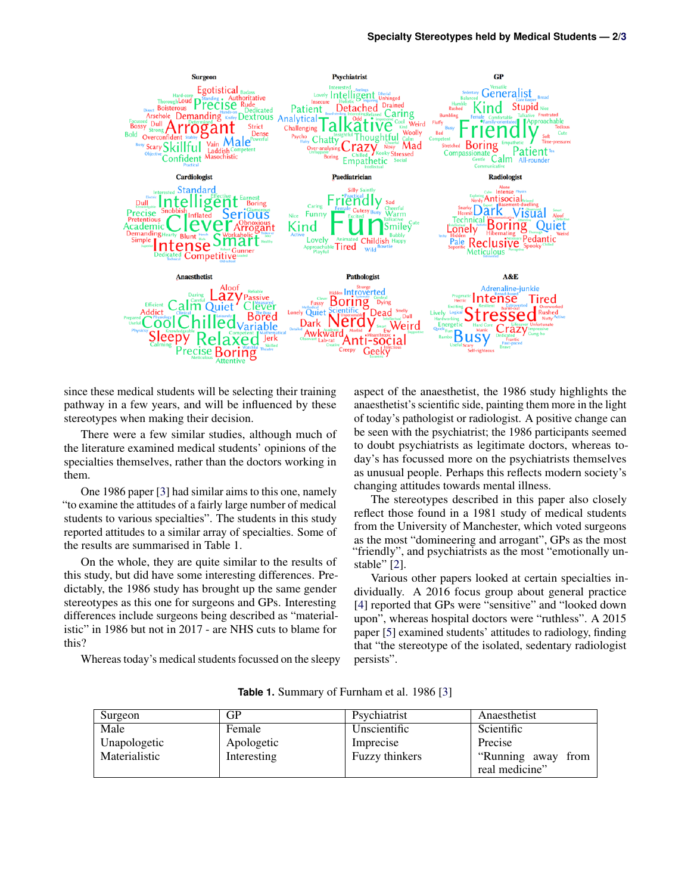

since these medical students will be selecting their training pathway in a few years, and will be influenced by these stereotypes when making their decision.

There were a few similar studies, although much of the literature examined medical students' opinions of the specialties themselves, rather than the doctors working in them.

One 1986 paper [\[3\]](#page-2-2) had similar aims to this one, namely "to examine the attitudes of a fairly large number of medical students to various specialties". The students in this study reported attitudes to a similar array of specialties. Some of the results are summarised in Table 1.

On the whole, they are quite similar to the results of this study, but did have some interesting differences. Predictably, the 1986 study has brought up the same gender stereotypes as this one for surgeons and GPs. Interesting differences include surgeons being described as "materialistic" in 1986 but not in 2017 - are NHS cuts to blame for this?

Whereas today's medical students focussed on the sleepy

aspect of the anaesthetist, the 1986 study highlights the anaesthetist's scientific side, painting them more in the light of today's pathologist or radiologist. A positive change can be seen with the psychiatrist; the 1986 participants seemed to doubt psychiatrists as legitimate doctors, whereas today's has focussed more on the psychiatrists themselves as unusual people. Perhaps this reflects modern society's changing attitudes towards mental illness.

The stereotypes described in this paper also closely reflect those found in a 1981 study of medical students from the University of Manchester, which voted surgeons as the most "domineering and arrogant", GPs as the most "friendly", and psychiatrists as the most "emotionally unstable" [\[2\]](#page-2-3).

Various other papers looked at certain specialties individually. A 2016 focus group about general practice [\[4\]](#page-2-4) reported that GPs were "sensitive" and "looked down upon", whereas hospital doctors were "ruthless". A 2015 paper [\[5\]](#page-2-5) examined students' attitudes to radiology, finding that "the stereotype of the isolated, sedentary radiologist persists".

| Surgeon       | GP          | Psychiatrist   | Anaesthetist           |
|---------------|-------------|----------------|------------------------|
| Male          | Female      | Unscientific   | Scientific             |
| Unapologetic  | Apologetic  | Imprecise      | Precise                |
| Materialistic | Interesting | Fuzzy thinkers | "Running away"<br>from |
|               |             |                | real medicine"         |

**Table 1.** Summary of Furnham et al. 1986 [\[3\]](#page-2-2)